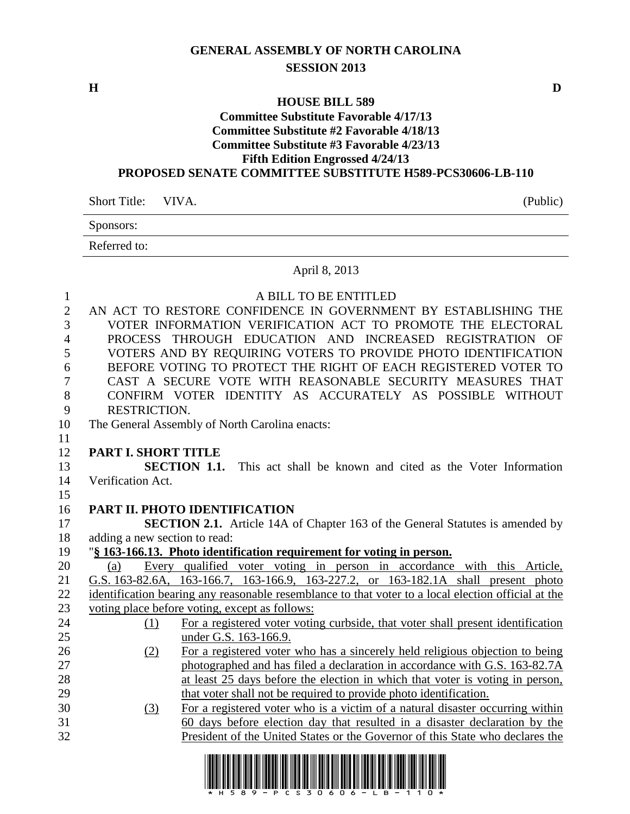# **GENERAL ASSEMBLY OF NORTH CAROLINA SESSION 2013**

**H D**

#### **HOUSE BILL 589 Committee Substitute Favorable 4/17/13 Committee Substitute #2 Favorable 4/18/13 Committee Substitute #3 Favorable 4/23/13 Fifth Edition Engrossed 4/24/13 PROPOSED SENATE COMMITTEE SUBSTITUTE H589-PCS30606-LB-110**

| Short Title: VIVA. | (Public) |
|--------------------|----------|
| Sponsors:          |          |
| Referred to:       |          |

# April 8, 2013

| $\mathbf{1}$   | A BILL TO BE ENTITLED                                                                                                                                       |
|----------------|-------------------------------------------------------------------------------------------------------------------------------------------------------------|
| $\overline{2}$ | AN ACT TO RESTORE CONFIDENCE IN GOVERNMENT BY ESTABLISHING THE                                                                                              |
| 3              | VOTER INFORMATION VERIFICATION ACT TO PROMOTE THE ELECTORAL                                                                                                 |
| $\overline{4}$ | PROCESS THROUGH EDUCATION AND INCREASED REGISTRATION<br>OF                                                                                                  |
| 5              | VOTERS AND BY REQUIRING VOTERS TO PROVIDE PHOTO IDENTIFICATION                                                                                              |
| 6              | BEFORE VOTING TO PROTECT THE RIGHT OF EACH REGISTERED VOTER TO                                                                                              |
| 7              | CAST A SECURE VOTE WITH REASONABLE SECURITY MEASURES THAT                                                                                                   |
| 8              | CONFIRM VOTER IDENTITY AS ACCURATELY AS POSSIBLE WITHOUT                                                                                                    |
| 9              | RESTRICTION.                                                                                                                                                |
| 10             | The General Assembly of North Carolina enacts:                                                                                                              |
| 11             |                                                                                                                                                             |
| 12             | PART I. SHORT TITLE                                                                                                                                         |
| 13             | <b>SECTION 1.1.</b><br>This act shall be known and cited as the Voter Information                                                                           |
| 14             | Verification Act.                                                                                                                                           |
| 15             |                                                                                                                                                             |
| 16             | PART II. PHOTO IDENTIFICATION                                                                                                                               |
|                |                                                                                                                                                             |
| 17             | <b>SECTION 2.1.</b> Article 14A of Chapter 163 of the General Statutes is amended by                                                                        |
| 18             | adding a new section to read:                                                                                                                               |
| 19             | "\\$ 163-166.13. Photo identification requirement for voting in person.                                                                                     |
| 20             | Every qualified voter voting in person in accordance with this Article,<br>(a)                                                                              |
| 21             | G.S. 163-82.6A, 163-166.7, 163-166.9, 163-227.2, or 163-182.1A shall present photo                                                                          |
| 22             | identification bearing any reasonable resemblance to that voter to a local election official at the                                                         |
| 23             | voting place before voting, except as follows:                                                                                                              |
| 24             | For a registered voter voting curbside, that voter shall present identification<br>(1)                                                                      |
| 25             | under G.S. 163-166.9.                                                                                                                                       |
| 26             | For a registered voter who has a sincerely held religious objection to being<br>(2)                                                                         |
| 27             | photographed and has filed a declaration in accordance with G.S. 163-82.7A                                                                                  |
| 28             | at least 25 days before the election in which that voter is voting in person,                                                                               |
| 29             | that voter shall not be required to provide photo identification.                                                                                           |
| 30             | For a registered voter who is a victim of a natural disaster occurring within<br>(3)                                                                        |
| 31<br>32       | 60 days before election day that resulted in a disaster declaration by the<br>President of the United States or the Governor of this State who declares the |

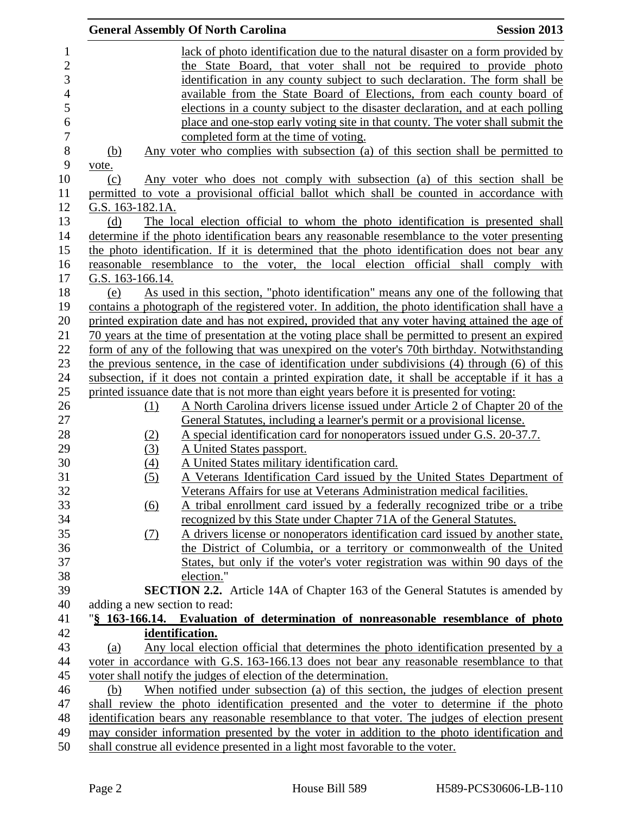|                                | <b>General Assembly Of North Carolina</b>                                     | <b>Session 2013</b>                                                                                                                                  |
|--------------------------------|-------------------------------------------------------------------------------|------------------------------------------------------------------------------------------------------------------------------------------------------|
| $\mathbf{1}$<br>$\overline{2}$ |                                                                               | lack of photo identification due to the natural disaster on a form provided by<br>the State Board, that voter shall not be required to provide photo |
| 3                              |                                                                               | identification in any county subject to such declaration. The form shall be                                                                          |
| 4                              |                                                                               | available from the State Board of Elections, from each county board of                                                                               |
| 5                              |                                                                               | elections in a county subject to the disaster declaration, and at each polling                                                                       |
| 6                              |                                                                               | place and one-stop early voting site in that county. The voter shall submit the                                                                      |
| $\overline{7}$                 | completed form at the time of voting.                                         |                                                                                                                                                      |
| 8                              | (b)                                                                           | Any voter who complies with subsection (a) of this section shall be permitted to                                                                     |
| 9                              | vote.                                                                         |                                                                                                                                                      |
| 10                             | (c)                                                                           | Any voter who does not comply with subsection (a) of this section shall be                                                                           |
| 11<br>12                       | G.S. 163-182.1A.                                                              | permitted to vote a provisional official ballot which shall be counted in accordance with                                                            |
| 13                             | (d)                                                                           | The local election official to whom the photo identification is presented shall                                                                      |
| 14                             |                                                                               | determine if the photo identification bears any reasonable resemblance to the voter presenting                                                       |
| 15                             |                                                                               | the photo identification. If it is determined that the photo identification does not bear any                                                        |
| 16                             |                                                                               | reasonable resemblance to the voter, the local election official shall comply with                                                                   |
| 17                             | G.S. 163-166.14.                                                              |                                                                                                                                                      |
| 18                             | (e)                                                                           | As used in this section, "photo identification" means any one of the following that                                                                  |
| 19                             |                                                                               | contains a photograph of the registered voter. In addition, the photo identification shall have a                                                    |
| 20                             |                                                                               | printed expiration date and has not expired, provided that any voter having attained the age of                                                      |
| 21                             |                                                                               | 70 years at the time of presentation at the voting place shall be permitted to present an expired                                                    |
| 22                             |                                                                               | form of any of the following that was unexpired on the voter's 70th birthday. Notwithstanding                                                        |
| 23                             |                                                                               | the previous sentence, in the case of identification under subdivisions (4) through (6) of this                                                      |
| 24                             |                                                                               | subsection, if it does not contain a printed expiration date, it shall be acceptable if it has a                                                     |
| 25                             |                                                                               | printed issuance date that is not more than eight years before it is presented for voting:                                                           |
| 26                             | (1)                                                                           | A North Carolina drivers license issued under Article 2 of Chapter 20 of the                                                                         |
| 27                             |                                                                               | General Statutes, including a learner's permit or a provisional license.                                                                             |
| 28                             | (2)                                                                           | A special identification card for nonoperators issued under G.S. 20-37.7.                                                                            |
| 29                             | A United States passport.<br>(3)                                              |                                                                                                                                                      |
| 30                             | A United States military identification card.<br>$\left(4\right)$             |                                                                                                                                                      |
| 31                             | (5)                                                                           | A Veterans Identification Card issued by the United States Department of                                                                             |
| 32                             |                                                                               | Veterans Affairs for use at Veterans Administration medical facilities.                                                                              |
| 33                             | $\underline{(6)}$                                                             | A tribal enrollment card issued by a federally recognized tribe or a tribe                                                                           |
| 34                             |                                                                               | recognized by this State under Chapter 71A of the General Statutes.                                                                                  |
| 35                             | (7)                                                                           | A drivers license or nonoperators identification card issued by another state,                                                                       |
| 36                             |                                                                               | the District of Columbia, or a territory or commonwealth of the United                                                                               |
| 37                             |                                                                               | States, but only if the voter's voter registration was within 90 days of the                                                                         |
| 38                             | election."                                                                    |                                                                                                                                                      |
| 39<br>40                       |                                                                               | <b>SECTION 2.2.</b> Article 14A of Chapter 163 of the General Statutes is amended by                                                                 |
| 41                             | adding a new section to read:                                                 | "§ 163-166.14. Evaluation of determination of nonreasonable resemblance of photo                                                                     |
| 42                             | identification.                                                               |                                                                                                                                                      |
| 43                             | (a)                                                                           | <u>Any local election official that determines the photo identification presented by a</u>                                                           |
| 44                             |                                                                               | voter in accordance with G.S. 163-166.13 does not bear any reasonable resemblance to that                                                            |
| 45                             | voter shall notify the judges of election of the determination.               |                                                                                                                                                      |
| 46                             | (b)                                                                           | When notified under subsection (a) of this section, the judges of election present                                                                   |
| 47                             |                                                                               | shall review the photo identification presented and the voter to determine if the photo                                                              |
| 48                             |                                                                               | identification bears any reasonable resemblance to that voter. The judges of election present                                                        |
| 49                             |                                                                               | may consider information presented by the voter in addition to the photo identification and                                                          |
| 50                             | shall construe all evidence presented in a light most favorable to the voter. |                                                                                                                                                      |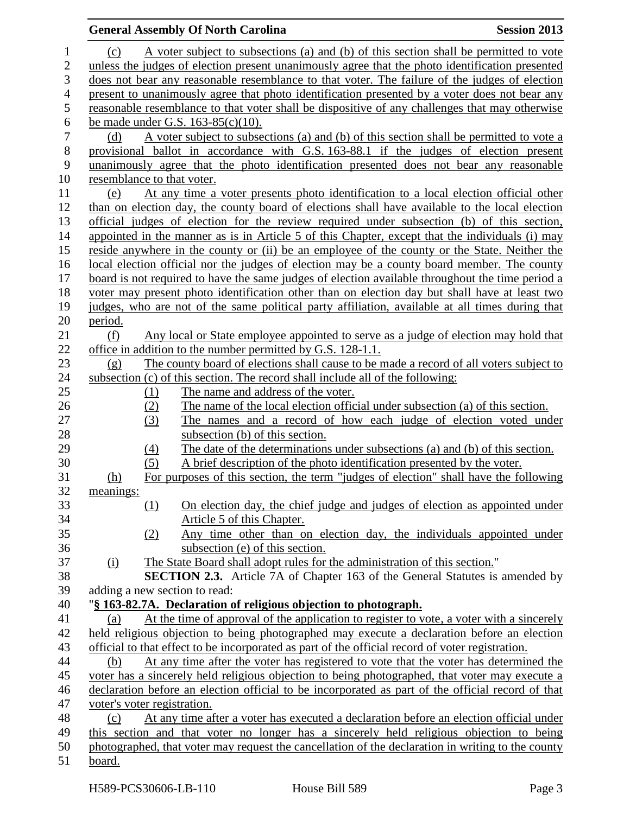# **General Assembly Of North Carolina Session 2013** (c) A voter subject to subsections (a) and (b) of this section shall be permitted to vote unless the judges of election present unanimously agree that the photo identification presented does not bear any reasonable resemblance to that voter. The failure of the judges of election present to unanimously agree that photo identification presented by a voter does not bear any reasonable resemblance to that voter shall be dispositive of any challenges that may otherwise 6 be made under G.S.  $163-85(c)(10)$ .<br>
7 (d) A voter subject to subset (d) A voter subject to subsections (a) and (b) of this section shall be permitted to vote a provisional ballot in accordance with G.S. 163-88.1 if the judges of election present unanimously agree that the photo identification presented does not bear any reasonable resemblance to that voter. (e) At any time a voter presents photo identification to a local election official other than on election day, the county board of elections shall have available to the local election official judges of election for the review required under subsection (b) of this section, appointed in the manner as is in Article 5 of this Chapter, except that the individuals (i) may reside anywhere in the county or (ii) be an employee of the county or the State. Neither the local election official nor the judges of election may be a county board member. The county board is not required to have the same judges of election available throughout the time period a voter may present photo identification other than on election day but shall have at least two judges, who are not of the same political party affiliation, available at all times during that period. (f) Any local or State employee appointed to serve as a judge of election may hold that office in addition to the number permitted by G.S. 128-1.1. (g) The county board of elections shall cause to be made a record of all voters subject to subsection (c) of this section. The record shall include all of the following: 25 (1) The name and address of the voter. (2) The name of the local election official under subsection (a) of this section. (3) The names and a record of how each judge of election voted under 28 subsection (b) of this section. (4) The date of the determinations under subsections (a) and (b) of this section. (5) A brief description of the photo identification presented by the voter. (h) For purposes of this section, the term "judges of election" shall have the following meanings: (1) On election day, the chief judge and judges of election as appointed under Article 5 of this Chapter. (2) Any time other than on election day, the individuals appointed under subsection (e) of this section. (i) The State Board shall adopt rules for the administration of this section." **SECTION 2.3.** Article 7A of Chapter 163 of the General Statutes is amended by adding a new section to read: "**§ 163-82.7A. Declaration of religious objection to photograph.** 41 (a) At the time of approval of the application to register to vote, a voter with a sincerely held religious objection to being photographed may execute a declaration before an election official to that effect to be incorporated as part of the official record of voter registration. (b) At any time after the voter has registered to vote that the voter has determined the voter has a sincerely held religious objection to being photographed, that voter may execute a declaration before an election official to be incorporated as part of the official record of that voter's voter registration. (c) At any time after a voter has executed a declaration before an election official under this section and that voter no longer has a sincerely held religious objection to being photographed, that voter may request the cancellation of the declaration in writing to the county board.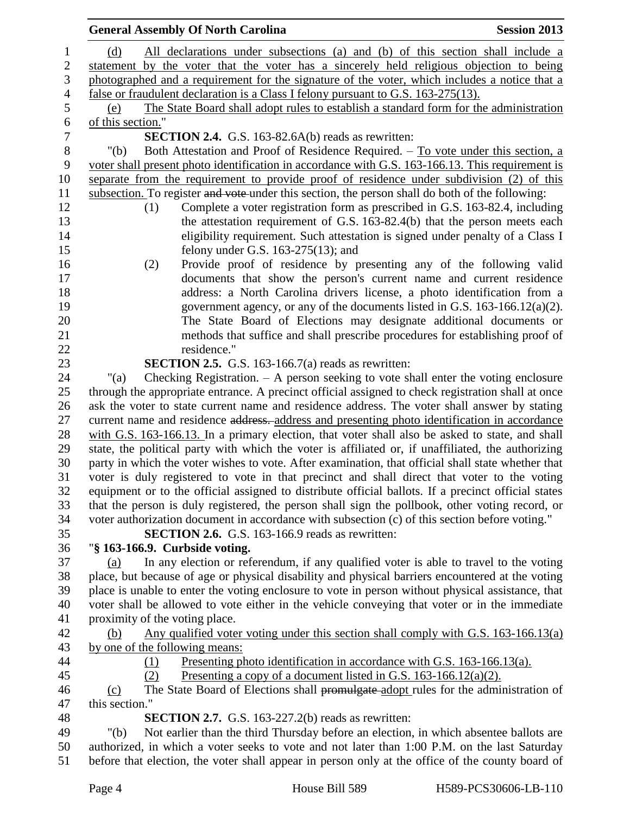|                  | <b>General Assembly Of North Carolina</b><br><b>Session 2013</b>                                                                                                                                 |  |
|------------------|--------------------------------------------------------------------------------------------------------------------------------------------------------------------------------------------------|--|
| 1                | All declarations under subsections (a) and (b) of this section shall include a<br>(d)                                                                                                            |  |
| $\sqrt{2}$       | statement by the voter that the voter has a sincerely held religious objection to being                                                                                                          |  |
| $\mathfrak{Z}$   | photographed and a requirement for the signature of the voter, which includes a notice that a                                                                                                    |  |
| $\overline{4}$   | false or fraudulent declaration is a Class I felony pursuant to G.S. 163-275(13).                                                                                                                |  |
| 5                | The State Board shall adopt rules to establish a standard form for the administration<br>(e)                                                                                                     |  |
| 6                | of this section."                                                                                                                                                                                |  |
| $\boldsymbol{7}$ | <b>SECTION 2.4.</b> G.S. 163-82.6A(b) reads as rewritten:                                                                                                                                        |  |
| $8\,$            | Both Attestation and Proof of Residence Required. – To vote under this section, a<br>"(b)                                                                                                        |  |
| 9                | voter shall present photo identification in accordance with G.S. 163-166.13. This requirement is                                                                                                 |  |
| 10               | separate from the requirement to provide proof of residence under subdivision (2) of this                                                                                                        |  |
| 11               | subsection. To register and vote under this section, the person shall do both of the following:                                                                                                  |  |
| 12               | Complete a voter registration form as prescribed in G.S. 163-82.4, including<br>(1)                                                                                                              |  |
| 13               | the attestation requirement of G.S. 163-82.4(b) that the person meets each                                                                                                                       |  |
| 14               | eligibility requirement. Such attestation is signed under penalty of a Class I                                                                                                                   |  |
| 15               | felony under G.S. $163-275(13)$ ; and                                                                                                                                                            |  |
| 16               | Provide proof of residence by presenting any of the following valid<br>(2)                                                                                                                       |  |
| 17               | documents that show the person's current name and current residence                                                                                                                              |  |
| 18               | address: a North Carolina drivers license, a photo identification from a                                                                                                                         |  |
| 19               | government agency, or any of the documents listed in G.S. $163-166.12(a)(2)$ .                                                                                                                   |  |
| 20               | The State Board of Elections may designate additional documents or                                                                                                                               |  |
| 21               | methods that suffice and shall prescribe procedures for establishing proof of                                                                                                                    |  |
| 22               | residence."                                                                                                                                                                                      |  |
| 23               | <b>SECTION 2.5.</b> G.S. 163-166.7(a) reads as rewritten:                                                                                                                                        |  |
| 24               | Checking Registration. $- A$ person seeking to vote shall enter the voting enclosure<br>" $(a)$                                                                                                  |  |
| 25               | through the appropriate entrance. A precinct official assigned to check registration shall at once                                                                                               |  |
| 26               | ask the voter to state current name and residence address. The voter shall answer by stating                                                                                                     |  |
| 27<br>28         | current name and residence address. address and presenting photo identification in accordance<br>with G.S. 163-166.13. In a primary election, that voter shall also be asked to state, and shall |  |
| 29               | state, the political party with which the voter is affiliated or, if unaffiliated, the authorizing                                                                                               |  |
| 30               | party in which the voter wishes to vote. After examination, that official shall state whether that                                                                                               |  |
| 31               | voter is duly registered to vote in that precinct and shall direct that voter to the voting                                                                                                      |  |
| 32               | equipment or to the official assigned to distribute official ballots. If a precinct official states                                                                                              |  |
| 33               | that the person is duly registered, the person shall sign the pollbook, other voting record, or                                                                                                  |  |
| 34               | voter authorization document in accordance with subsection (c) of this section before voting."                                                                                                   |  |
| 35               | <b>SECTION 2.6.</b> G.S. 163-166.9 reads as rewritten:                                                                                                                                           |  |
| 36               | "§ 163-166.9. Curbside voting.                                                                                                                                                                   |  |
| 37               | In any election or referendum, if any qualified voter is able to travel to the voting<br>(a)                                                                                                     |  |
| 38               | place, but because of age or physical disability and physical barriers encountered at the voting                                                                                                 |  |
| 39               | place is unable to enter the voting enclosure to vote in person without physical assistance, that                                                                                                |  |
| 40               | voter shall be allowed to vote either in the vehicle conveying that voter or in the immediate                                                                                                    |  |
| 41               | proximity of the voting place.                                                                                                                                                                   |  |
| 42               | Any qualified voter voting under this section shall comply with G.S. $163-166.13(a)$<br>(b)                                                                                                      |  |
| 43               | by one of the following means:                                                                                                                                                                   |  |
| 44               | <u>Presenting photo identification in accordance with G.S. 163-166.13(a).</u><br>(1)                                                                                                             |  |
| 45               | Presenting a copy of a document listed in G.S. $163-166.12(a)(2)$ .<br>(2)                                                                                                                       |  |
| 46               | The State Board of Elections shall promulgate adopt rules for the administration of<br>(c)                                                                                                       |  |
| 47               | this section."                                                                                                                                                                                   |  |
| 48               | <b>SECTION 2.7.</b> G.S. 163-227.2(b) reads as rewritten:                                                                                                                                        |  |
| 49               | Not earlier than the third Thursday before an election, in which absentee ballots are<br>" $(b)$                                                                                                 |  |
| 50               | authorized, in which a voter seeks to vote and not later than 1:00 P.M. on the last Saturday                                                                                                     |  |
| 51               | before that election, the voter shall appear in person only at the office of the county board of                                                                                                 |  |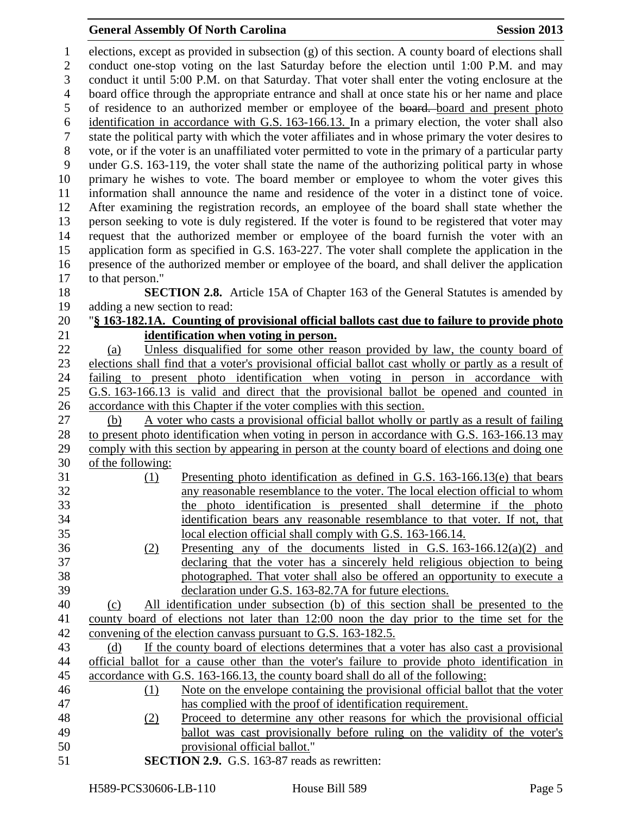#### **General Assembly Of North Carolina Session 2013**

 elections, except as provided in subsection (g) of this section. A county board of elections shall conduct one-stop voting on the last Saturday before the election until 1:00 P.M. and may conduct it until 5:00 P.M. on that Saturday. That voter shall enter the voting enclosure at the board office through the appropriate entrance and shall at once state his or her name and place 5 of residence to an authorized member or employee of the board. board and present photo identification in accordance with G.S. 163-166.13. In a primary election, the voter shall also state the political party with which the voter affiliates and in whose primary the voter desires to vote, or if the voter is an unaffiliated voter permitted to vote in the primary of a particular party under G.S. 163-119, the voter shall state the name of the authorizing political party in whose primary he wishes to vote. The board member or employee to whom the voter gives this information shall announce the name and residence of the voter in a distinct tone of voice. After examining the registration records, an employee of the board shall state whether the person seeking to vote is duly registered. If the voter is found to be registered that voter may request that the authorized member or employee of the board furnish the voter with an application form as specified in G.S. 163-227. The voter shall complete the application in the presence of the authorized member or employee of the board, and shall deliver the application to that person." **SECTION 2.8.** Article 15A of Chapter 163 of the General Statutes is amended by adding a new section to read: "**§ 163-182.1A. Counting of provisional official ballots cast due to failure to provide photo identification when voting in person.** (a) Unless disqualified for some other reason provided by law, the county board of elections shall find that a voter's provisional official ballot cast wholly or partly as a result of failing to present photo identification when voting in person in accordance with G.S. 163-166.13 is valid and direct that the provisional ballot be opened and counted in accordance with this Chapter if the voter complies with this section. (b) A voter who casts a provisional official ballot wholly or partly as a result of failing to present photo identification when voting in person in accordance with G.S. 163-166.13 may comply with this section by appearing in person at the county board of elections and doing one of the following: (1) Presenting photo identification as defined in G.S. 163-166.13(e) that bears any reasonable resemblance to the voter. The local election official to whom the photo identification is presented shall determine if the photo identification bears any reasonable resemblance to that voter. If not, that local election official shall comply with G.S. 163-166.14. (2) Presenting any of the documents listed in G.S. 163-166.12(a)(2) and declaring that the voter has a sincerely held religious objection to being photographed. That voter shall also be offered an opportunity to execute a declaration under G.S. 163-82.7A for future elections. (c) All identification under subsection (b) of this section shall be presented to the county board of elections not later than 12:00 noon the day prior to the time set for the convening of the election canvass pursuant to G.S. 163-182.5. (d) If the county board of elections determines that a voter has also cast a provisional official ballot for a cause other than the voter's failure to provide photo identification in accordance with G.S. 163-166.13, the county board shall do all of the following: (1) Note on the envelope containing the provisional official ballot that the voter has complied with the proof of identification requirement. (2) Proceed to determine any other reasons for which the provisional official ballot was cast provisionally before ruling on the validity of the voter's provisional official ballot." **SECTION 2.9.** G.S. 163-87 reads as rewritten: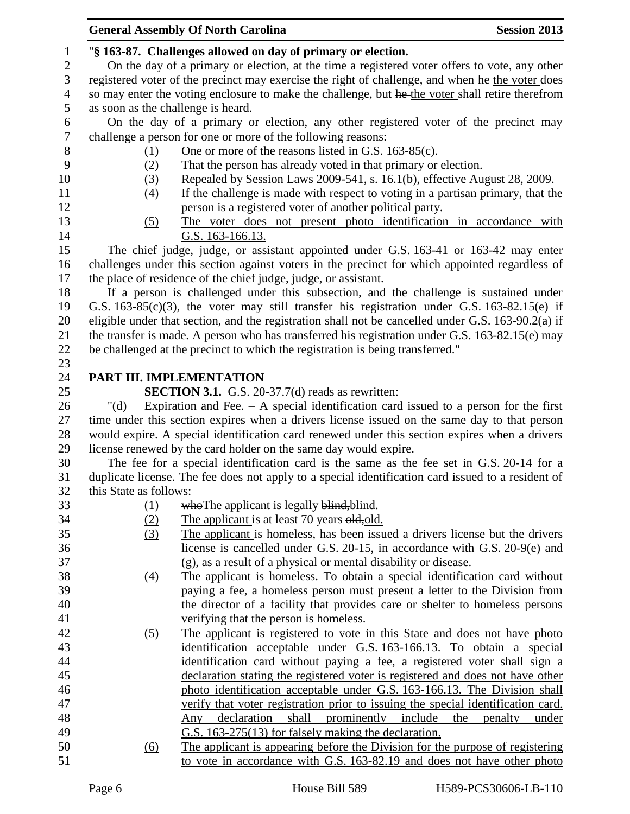|                  |                                    | <b>General Assembly Of North Carolina</b>                                                          | <b>Session 2013</b>     |
|------------------|------------------------------------|----------------------------------------------------------------------------------------------------|-------------------------|
| $\mathbf{1}$     |                                    | "§ 163-87. Challenges allowed on day of primary or election.                                       |                         |
| $\mathbf{2}$     |                                    | On the day of a primary or election, at the time a registered voter offers to vote, any other      |                         |
| 3                |                                    | registered voter of the precinct may exercise the right of challenge, and when he the voter does   |                         |
| $\overline{4}$   |                                    | so may enter the voting enclosure to make the challenge, but he the voter shall retire therefrom   |                         |
| 5                | as soon as the challenge is heard. |                                                                                                    |                         |
| 6                |                                    | On the day of a primary or election, any other registered voter of the precinct may                |                         |
| $\boldsymbol{7}$ |                                    | challenge a person for one or more of the following reasons:                                       |                         |
| $8\,$            | (1)                                | One or more of the reasons listed in G.S. 163-85(c).                                               |                         |
| 9                | (2)                                | That the person has already voted in that primary or election.                                     |                         |
| 10               | (3)                                | Repealed by Session Laws 2009-541, s. 16.1(b), effective August 28, 2009.                          |                         |
| 11               | (4)                                | If the challenge is made with respect to voting in a partisan primary, that the                    |                         |
| 12               |                                    | person is a registered voter of another political party.                                           |                         |
| 13               | (5)                                | The voter does not present photo identification in accordance with                                 |                         |
| 14               |                                    | G.S. 163-166.13.                                                                                   |                         |
| 15               |                                    | The chief judge, judge, or assistant appointed under G.S. 163-41 or 163-42 may enter               |                         |
| 16               |                                    | challenges under this section against voters in the precinct for which appointed regardless of     |                         |
| 17               |                                    | the place of residence of the chief judge, judge, or assistant.                                    |                         |
| 18               |                                    | If a person is challenged under this subsection, and the challenge is sustained under              |                         |
| 19               |                                    | G.S. $163-85(c)(3)$ , the voter may still transfer his registration under G.S. $163-82.15(e)$ if   |                         |
| 20               |                                    | eligible under that section, and the registration shall not be cancelled under G.S. 163-90.2(a) if |                         |
| 21               |                                    | the transfer is made. A person who has transferred his registration under G.S. 163-82.15(e) may    |                         |
| 22               |                                    | be challenged at the precinct to which the registration is being transferred."                     |                         |
| 23               |                                    |                                                                                                    |                         |
| 24               |                                    | PART III. IMPLEMENTATION                                                                           |                         |
| 25               |                                    | <b>SECTION 3.1.</b> G.S. 20-37.7(d) reads as rewritten:                                            |                         |
| 26               | " $(d)$                            | Expiration and Fee. $-$ A special identification card issued to a person for the first             |                         |
| 27               |                                    | time under this section expires when a drivers license issued on the same day to that person       |                         |
| 28               |                                    | would expire. A special identification card renewed under this section expires when a drivers      |                         |
| 29               |                                    | license renewed by the card holder on the same day would expire.                                   |                         |
| 30               |                                    | The fee for a special identification card is the same as the fee set in G.S. 20-14 for a           |                         |
| 31               |                                    | duplicate license. The fee does not apply to a special identification card issued to a resident of |                         |
| 32               | this State as follows:             |                                                                                                    |                         |
| 33               | (1)                                | who The applicant is legally blind, blind.                                                         |                         |
| 34               | (2)                                | The applicant is at least 70 years old, old.                                                       |                         |
| 35               | (3)                                | The applicant is homeless, has been issued a drivers license but the drivers                       |                         |
| 36               |                                    | license is cancelled under G.S. 20-15, in accordance with G.S. 20-9(e) and                         |                         |
| 37               |                                    | (g), as a result of a physical or mental disability or disease.                                    |                         |
| 38               | $\underline{(4)}$                  | The applicant is homeless. To obtain a special identification card without                         |                         |
| 39               |                                    | paying a fee, a homeless person must present a letter to the Division from                         |                         |
| 40               |                                    | the director of a facility that provides care or shelter to homeless persons                       |                         |
| 41               |                                    | verifying that the person is homeless.                                                             |                         |
| 42               | (5)                                | The applicant is registered to vote in this State and does not have photo                          |                         |
| 43               |                                    | identification acceptable under G.S. 163-166.13. To obtain a special                               |                         |
| 44               |                                    | identification card without paying a fee, a registered voter shall sign a                          |                         |
| 45               |                                    | declaration stating the registered voter is registered and does not have other                     |                         |
| 46               |                                    | photo identification acceptable under G.S. 163-166.13. The Division shall                          |                         |
| 47               |                                    | verify that voter registration prior to issuing the special identification card.                   |                         |
| 48               |                                    | declaration<br>shall<br>prominently include<br>Any                                                 | the<br>penalty<br>under |
| 49               |                                    | G.S. 163-275(13) for falsely making the declaration.                                               |                         |
| 50               | (6)                                | The applicant is appearing before the Division for the purpose of registering                      |                         |
| 51               |                                    | to vote in accordance with G.S. 163-82.19 and does not have other photo                            |                         |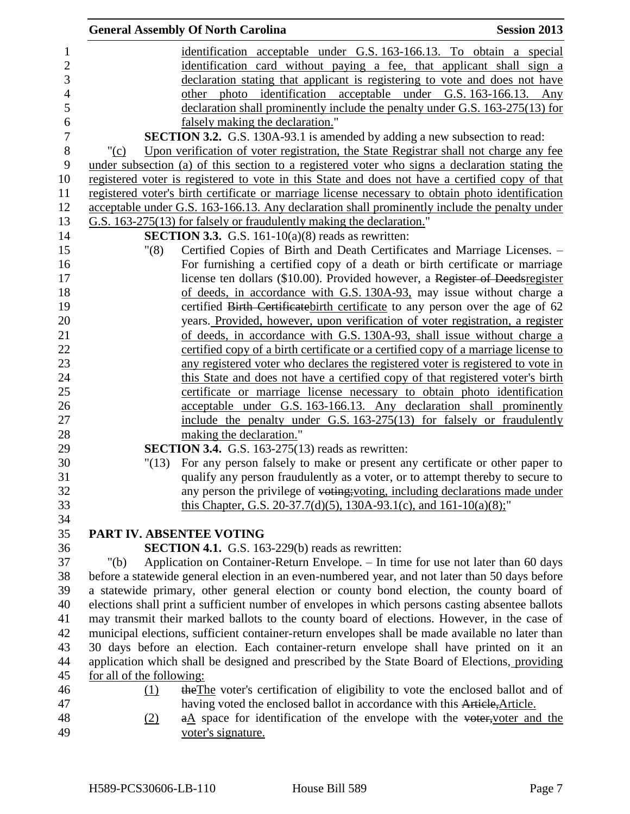|                           | <b>General Assembly Of North Carolina</b>                                                         | <b>Session 2013</b> |
|---------------------------|---------------------------------------------------------------------------------------------------|---------------------|
|                           | identification acceptable under G.S. 163-166.13. To obtain a special                              |                     |
|                           | identification card without paying a fee, that applicant shall sign a                             |                     |
|                           | declaration stating that applicant is registering to vote and does not have                       |                     |
|                           | photo identification acceptable under G.S. 163-166.13. Any<br>other                               |                     |
|                           | declaration shall prominently include the penalty under G.S. 163-275(13) for                      |                     |
|                           | falsely making the declaration."                                                                  |                     |
|                           | SECTION 3.2. G.S. 130A-93.1 is amended by adding a new subsection to read:                        |                     |
| " $(c)$                   | Upon verification of voter registration, the State Registrar shall not charge any fee             |                     |
|                           | under subsection (a) of this section to a registered voter who signs a declaration stating the    |                     |
|                           | registered voter is registered to vote in this State and does not have a certified copy of that   |                     |
|                           | registered voter's birth certificate or marriage license necessary to obtain photo identification |                     |
|                           | acceptable under G.S. 163-166.13. Any declaration shall prominently include the penalty under     |                     |
|                           | G.S. 163-275(13) for falsely or fraudulently making the declaration."                             |                     |
|                           | <b>SECTION 3.3.</b> G.S. 161-10(a)(8) reads as rewritten:                                         |                     |
|                           |                                                                                                   |                     |
| "(8)                      | Certified Copies of Birth and Death Certificates and Marriage Licenses. -                         |                     |
|                           | For furnishing a certified copy of a death or birth certificate or marriage                       |                     |
|                           | license ten dollars (\$10.00). Provided however, a Register of Deedsregister                      |                     |
|                           | of deeds, in accordance with G.S. 130A-93, may issue without charge a                             |                     |
|                           | certified Birth Certificate birth certificate to any person over the age of 62                    |                     |
|                           | years. Provided, however, upon verification of voter registration, a register                     |                     |
|                           | of deeds, in accordance with G.S. 130A-93, shall issue without charge a                           |                     |
|                           | certified copy of a birth certificate or a certified copy of a marriage license to                |                     |
|                           | any registered voter who declares the registered voter is registered to vote in                   |                     |
|                           | this State and does not have a certified copy of that registered voter's birth                    |                     |
|                           | certificate or marriage license necessary to obtain photo identification                          |                     |
|                           | acceptable under G.S. 163-166.13. Any declaration shall prominently                               |                     |
|                           | include the penalty under G.S. 163-275(13) for falsely or fraudulently                            |                     |
|                           | making the declaration."                                                                          |                     |
|                           | <b>SECTION 3.4.</b> G.S. 163-275(13) reads as rewritten:                                          |                     |
| "(13)                     | For any person falsely to make or present any certificate or other paper to                       |                     |
|                           | qualify any person fraudulently as a voter, or to attempt thereby to secure to                    |                     |
|                           | any person the privilege of voting; voting, including declarations made under                     |                     |
|                           | this Chapter, G.S. 20-37.7(d)(5), 130A-93.1(c), and 161-10(a)(8);"                                |                     |
|                           |                                                                                                   |                     |
|                           | PART IV. ABSENTEE VOTING                                                                          |                     |
|                           | <b>SECTION 4.1.</b> G.S. 163-229(b) reads as rewritten:                                           |                     |
| " $(b)$                   | Application on Container-Return Envelope. - In time for use not later than 60 days                |                     |
|                           | before a statewide general election in an even-numbered year, and not later than 50 days before   |                     |
|                           | a statewide primary, other general election or county bond election, the county board of          |                     |
|                           | elections shall print a sufficient number of envelopes in which persons casting absentee ballots  |                     |
|                           | may transmit their marked ballots to the county board of elections. However, in the case of       |                     |
|                           | municipal elections, sufficient container-return envelopes shall be made available no later than  |                     |
|                           | 30 days before an election. Each container-return envelope shall have printed on it an            |                     |
|                           | application which shall be designed and prescribed by the State Board of Elections, providing     |                     |
| for all of the following: |                                                                                                   |                     |
| $\Omega$                  | the The voter's certification of eligibility to vote the enclosed ballot and of                   |                     |
|                           | having voted the enclosed ballot in accordance with this Article, Article.                        |                     |
| (2)                       | $a\Delta$ space for identification of the envelope with the voter, voter and the                  |                     |
|                           | voter's signature.                                                                                |                     |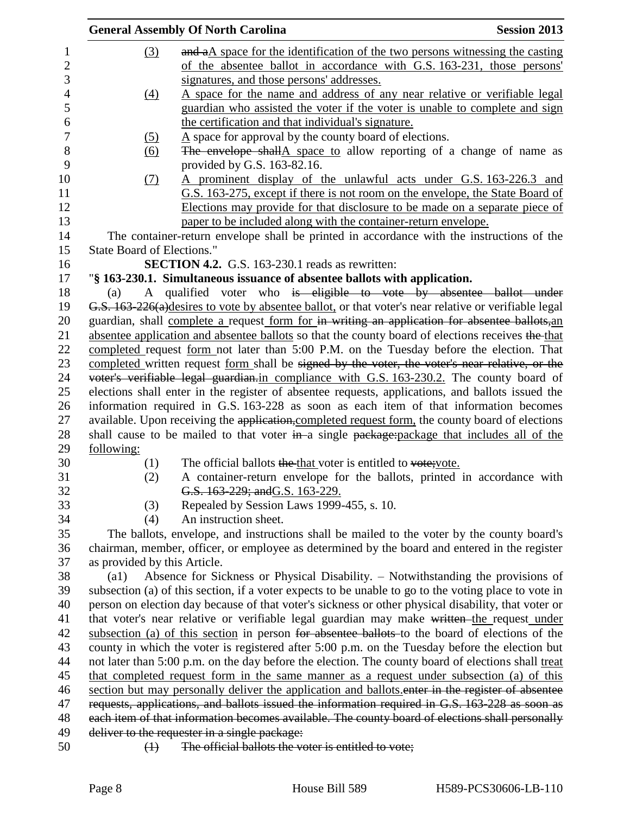|                                                                                                |                                   | <b>General Assembly Of North Carolina</b>                                                            | <b>Session 2013</b> |
|------------------------------------------------------------------------------------------------|-----------------------------------|------------------------------------------------------------------------------------------------------|---------------------|
|                                                                                                | (3)                               | and aA space for the identification of the two persons witnessing the casting                        |                     |
|                                                                                                |                                   | of the absentee ballot in accordance with G.S. 163-231, those persons'                               |                     |
|                                                                                                |                                   | signatures, and those persons' addresses.                                                            |                     |
|                                                                                                | (4)                               | A space for the name and address of any near relative or verifiable legal                            |                     |
|                                                                                                |                                   | guardian who assisted the voter if the voter is unable to complete and sign                          |                     |
|                                                                                                |                                   | the certification and that individual's signature.                                                   |                     |
|                                                                                                | <u>(5)</u>                        | $\underline{A}$ space for approval by the county board of elections.                                 |                     |
|                                                                                                | <u>(6)</u>                        | The envelope shallA space to allow reporting of a change of name as                                  |                     |
|                                                                                                |                                   | provided by G.S. 163-82.16.                                                                          |                     |
|                                                                                                | (7)                               | A prominent display of the unlawful acts under G.S. 163-226.3 and                                    |                     |
|                                                                                                |                                   | G.S. 163-275, except if there is not room on the envelope, the State Board of                        |                     |
|                                                                                                |                                   | Elections may provide for that disclosure to be made on a separate piece of                          |                     |
|                                                                                                |                                   | paper to be included along with the container-return envelope.                                       |                     |
|                                                                                                |                                   | The container-return envelope shall be printed in accordance with the instructions of the            |                     |
|                                                                                                | <b>State Board of Elections."</b> |                                                                                                      |                     |
|                                                                                                |                                   | <b>SECTION 4.2.</b> G.S. 163-230.1 reads as rewritten:                                               |                     |
|                                                                                                |                                   | "§ 163-230.1. Simultaneous issuance of absentee ballots with application.                            |                     |
|                                                                                                | (a)                               | A qualified voter who is eligible to vote by absentee ballot under                                   |                     |
|                                                                                                |                                   | G.S. 163-226(a)desires to vote by absentee ballot, or that voter's near relative or verifiable legal |                     |
|                                                                                                |                                   | guardian, shall complete a request form for in writing an application for absentee ballots, an       |                     |
|                                                                                                |                                   | absentee application and absentee ballots so that the county board of elections receives the that    |                     |
|                                                                                                |                                   | completed request form not later than 5:00 P.M. on the Tuesday before the election. That             |                     |
| completed written request form shall be signed by the voter, the voter's near relative, or the |                                   |                                                                                                      |                     |
|                                                                                                |                                   | voter's verifiable legal guardian.in compliance with G.S. 163-230.2. The county board of             |                     |
|                                                                                                |                                   | elections shall enter in the register of absentee requests, applications, and ballots issued the     |                     |
|                                                                                                |                                   | information required in G.S. 163-228 as soon as each item of that information becomes                |                     |
|                                                                                                |                                   | available. Upon receiving the application, completed request form, the county board of elections     |                     |
|                                                                                                |                                   | shall cause to be mailed to that voter in a single package: package that includes all of the         |                     |
|                                                                                                | following:                        |                                                                                                      |                     |
|                                                                                                | (1)                               | The official ballots the that voter is entitled to vote; vote.                                       |                     |
|                                                                                                | (2)                               | A container-return envelope for the ballots, printed in accordance with                              |                     |
|                                                                                                |                                   | G.S. 163-229; and G.S. 163-229.                                                                      |                     |
|                                                                                                | (3)                               | Repealed by Session Laws 1999-455, s. 10.                                                            |                     |
|                                                                                                | (4)                               | An instruction sheet.                                                                                |                     |
|                                                                                                |                                   | The ballots, envelope, and instructions shall be mailed to the voter by the county board's           |                     |
|                                                                                                |                                   | chairman, member, officer, or employee as determined by the board and entered in the register        |                     |
|                                                                                                | as provided by this Article.      |                                                                                                      |                     |
|                                                                                                | $\left( a1\right)$                | Absence for Sickness or Physical Disability. – Notwithstanding the provisions of                     |                     |
|                                                                                                |                                   | subsection (a) of this section, if a voter expects to be unable to go to the voting place to vote in |                     |
|                                                                                                |                                   | person on election day because of that voter's sickness or other physical disability, that voter or  |                     |
|                                                                                                |                                   | that voter's near relative or verifiable legal guardian may make written the request under           |                     |
|                                                                                                |                                   | subsection (a) of this section in person for absentee ballots to the board of elections of the       |                     |
|                                                                                                |                                   | county in which the voter is registered after 5:00 p.m. on the Tuesday before the election but       |                     |
|                                                                                                |                                   | not later than 5:00 p.m. on the day before the election. The county board of elections shall treat   |                     |
|                                                                                                |                                   | that completed request form in the same manner as a request under subsection (a) of this             |                     |
|                                                                                                |                                   | section but may personally deliver the application and ballots enter in the register of absentee     |                     |
|                                                                                                |                                   | requests, applications, and ballots issued the information required in G.S. 163-228 as soon as       |                     |
|                                                                                                |                                   | each item of that information becomes available. The county board of elections shall personally      |                     |
|                                                                                                |                                   | deliver to the requester in a single package:                                                        |                     |
|                                                                                                | $\leftrightarrow$                 | The official ballots the voter is entitled to vote;                                                  |                     |
|                                                                                                |                                   |                                                                                                      |                     |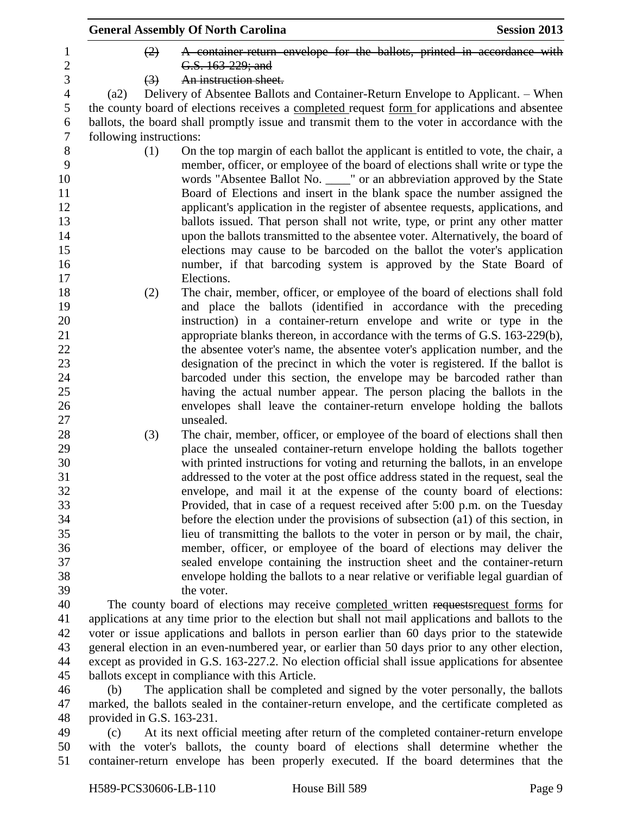|                |                              |                  | <b>General Assembly Of North Carolina</b>                                                         | <b>Session 2013</b> |
|----------------|------------------------------|------------------|---------------------------------------------------------------------------------------------------|---------------------|
| 1              |                              | (2)              | A container-return envelope for the ballots, printed in accordance with                           |                     |
| $\overline{c}$ |                              |                  | G.S. 163-229; and                                                                                 |                     |
| 3              |                              | $\left(3\right)$ | An instruction sheet.                                                                             |                     |
| $\overline{4}$ | (a2)                         |                  | Delivery of Absentee Ballots and Container-Return Envelope to Applicant. – When                   |                     |
| 5              |                              |                  | the county board of elections receives a completed request form for applications and absentee     |                     |
| 6              |                              |                  | ballots, the board shall promptly issue and transmit them to the voter in accordance with the     |                     |
| $\tau$         | following instructions:      |                  |                                                                                                   |                     |
| $\,8\,$        |                              | (1)              | On the top margin of each ballot the applicant is entitled to vote, the chair, a                  |                     |
| 9              |                              |                  | member, officer, or employee of the board of elections shall write or type the                    |                     |
| 10             |                              |                  | words "Absentee Ballot No. ____" or an abbreviation approved by the State                         |                     |
| 11             |                              |                  | Board of Elections and insert in the blank space the number assigned the                          |                     |
| 12             |                              |                  | applicant's application in the register of absentee requests, applications, and                   |                     |
| 13             |                              |                  | ballots issued. That person shall not write, type, or print any other matter                      |                     |
| 14             |                              |                  | upon the ballots transmitted to the absentee voter. Alternatively, the board of                   |                     |
| 15             |                              |                  | elections may cause to be barcoded on the ballot the voter's application                          |                     |
| 16             |                              |                  | number, if that barcoding system is approved by the State Board of                                |                     |
| 17             |                              |                  | Elections.                                                                                        |                     |
| 18             |                              | (2)              | The chair, member, officer, or employee of the board of elections shall fold                      |                     |
| 19             |                              |                  | and place the ballots (identified in accordance with the preceding                                |                     |
| 20             |                              |                  | instruction) in a container-return envelope and write or type in the                              |                     |
| 21             |                              |                  | appropriate blanks thereon, in accordance with the terms of G.S. 163-229(b),                      |                     |
| 22             |                              |                  | the absentee voter's name, the absentee voter's application number, and the                       |                     |
| 23             |                              |                  | designation of the precinct in which the voter is registered. If the ballot is                    |                     |
| 24             |                              |                  | barcoded under this section, the envelope may be barcoded rather than                             |                     |
| 25             |                              |                  | having the actual number appear. The person placing the ballots in the                            |                     |
| 26             |                              |                  | envelopes shall leave the container-return envelope holding the ballots                           |                     |
| 27             |                              |                  | unsealed.                                                                                         |                     |
| 28             |                              | (3)              | The chair, member, officer, or employee of the board of elections shall then                      |                     |
| 29             |                              |                  | place the unsealed container-return envelope holding the ballots together                         |                     |
| 30             |                              |                  | with printed instructions for voting and returning the ballots, in an envelope                    |                     |
| 31             |                              |                  | addressed to the voter at the post office address stated in the request, seal the                 |                     |
| 32             |                              |                  | envelope, and mail it at the expense of the county board of elections:                            |                     |
| 33             |                              |                  | Provided, that in case of a request received after 5:00 p.m. on the Tuesday                       |                     |
| 34             |                              |                  | before the election under the provisions of subsection (a1) of this section, in                   |                     |
| 35             |                              |                  | lieu of transmitting the ballots to the voter in person or by mail, the chair,                    |                     |
| 36             |                              |                  | member, officer, or employee of the board of elections may deliver the                            |                     |
| 37             |                              |                  | sealed envelope containing the instruction sheet and the container-return                         |                     |
| 38             |                              |                  | envelope holding the ballots to a near relative or verifiable legal guardian of                   |                     |
| 39             |                              |                  | the voter.                                                                                        |                     |
| 40             |                              |                  | The county board of elections may receive completed written requests request forms for            |                     |
| 41             |                              |                  | applications at any time prior to the election but shall not mail applications and ballots to the |                     |
| 42             |                              |                  | voter or issue applications and ballots in person earlier than 60 days prior to the statewide     |                     |
| 43             |                              |                  | general election in an even-numbered year, or earlier than 50 days prior to any other election,   |                     |
| 44             |                              |                  | except as provided in G.S. 163-227.2. No election official shall issue applications for absentee  |                     |
| 45             |                              |                  | ballots except in compliance with this Article.                                                   |                     |
| 46             | (b)                          |                  | The application shall be completed and signed by the voter personally, the ballots                |                     |
| 47             |                              |                  | marked, the ballots sealed in the container-return envelope, and the certificate completed as     |                     |
| 48             | provided in G.S. $163-231$ . |                  |                                                                                                   |                     |
| 49             | (c)                          |                  | At its next official meeting after return of the completed container-return envelope              |                     |
| 50             |                              |                  | with the voter's ballots, the county board of elections shall determine whether the               |                     |
| 51             |                              |                  | container-return envelope has been properly executed. If the board determines that the            |                     |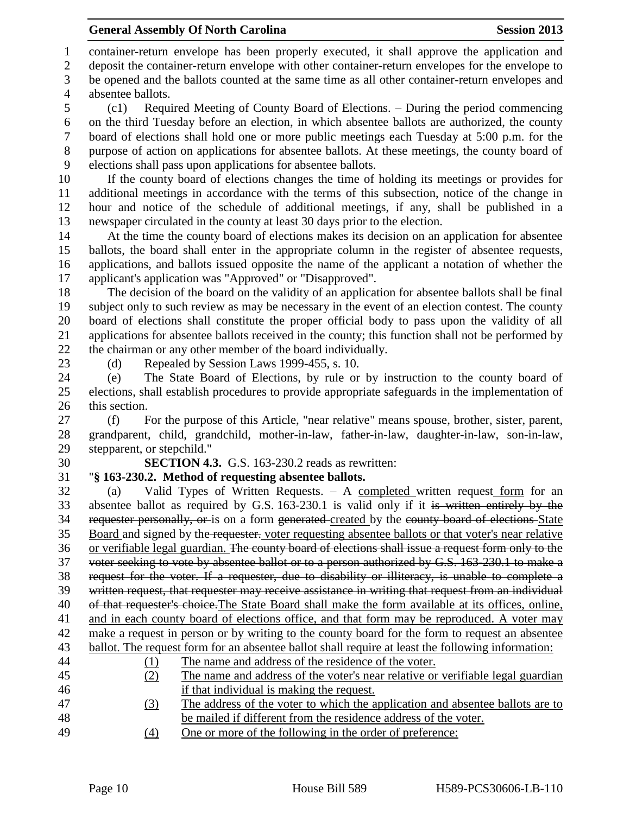container-return envelope has been properly executed, it shall approve the application and

deposit the container-return envelope with other container-return envelopes for the envelope to

 be opened and the ballots counted at the same time as all other container-return envelopes and absentee ballots.

 (c1) Required Meeting of County Board of Elections. – During the period commencing on the third Tuesday before an election, in which absentee ballots are authorized, the county board of elections shall hold one or more public meetings each Tuesday at 5:00 p.m. for the purpose of action on applications for absentee ballots. At these meetings, the county board of elections shall pass upon applications for absentee ballots.

 If the county board of elections changes the time of holding its meetings or provides for additional meetings in accordance with the terms of this subsection, notice of the change in hour and notice of the schedule of additional meetings, if any, shall be published in a newspaper circulated in the county at least 30 days prior to the election.

 At the time the county board of elections makes its decision on an application for absentee ballots, the board shall enter in the appropriate column in the register of absentee requests, applications, and ballots issued opposite the name of the applicant a notation of whether the applicant's application was "Approved" or "Disapproved".

 The decision of the board on the validity of an application for absentee ballots shall be final subject only to such review as may be necessary in the event of an election contest. The county board of elections shall constitute the proper official body to pass upon the validity of all applications for absentee ballots received in the county; this function shall not be performed by the chairman or any other member of the board individually.

23 (d) Repealed by Session Laws 1999-455, s. 10.

 (e) The State Board of Elections, by rule or by instruction to the county board of elections, shall establish procedures to provide appropriate safeguards in the implementation of this section.

 (f) For the purpose of this Article, "near relative" means spouse, brother, sister, parent, grandparent, child, grandchild, mother-in-law, father-in-law, daughter-in-law, son-in-law, stepparent, or stepchild."

**SECTION 4.3.** G.S. 163-230.2 reads as rewritten:

# "**§ 163-230.2. Method of requesting absentee ballots.**

 (a) Valid Types of Written Requests. – A completed written request form for an absentee ballot as required by G.S. 163-230.1 is valid only if it is written entirely by the 34 requester personally, or is on a form generated created by the county board of elections State Board and signed by the requester. voter requesting absentee ballots or that voter's near relative or verifiable legal guardian. The county board of elections shall issue a request form only to the voter seeking to vote by absentee ballot or to a person authorized by G.S. 163-230.1 to make a request for the voter. If a requester, due to disability or illiteracy, is unable to complete a written request, that requester may receive assistance in writing that request from an individual of that requester's choice.The State Board shall make the form available at its offices, online, and in each county board of elections office, and that form may be reproduced. A voter may make a request in person or by writing to the county board for the form to request an absentee ballot. The request form for an absentee ballot shall require at least the following information: (1) The name and address of the residence of the voter. (2) The name and address of the voter's near relative or verifiable legal guardian if that individual is making the request. (3) The address of the voter to which the application and absentee ballots are to

- be mailed if different from the residence address of the voter.
- (4) One or more of the following in the order of preference: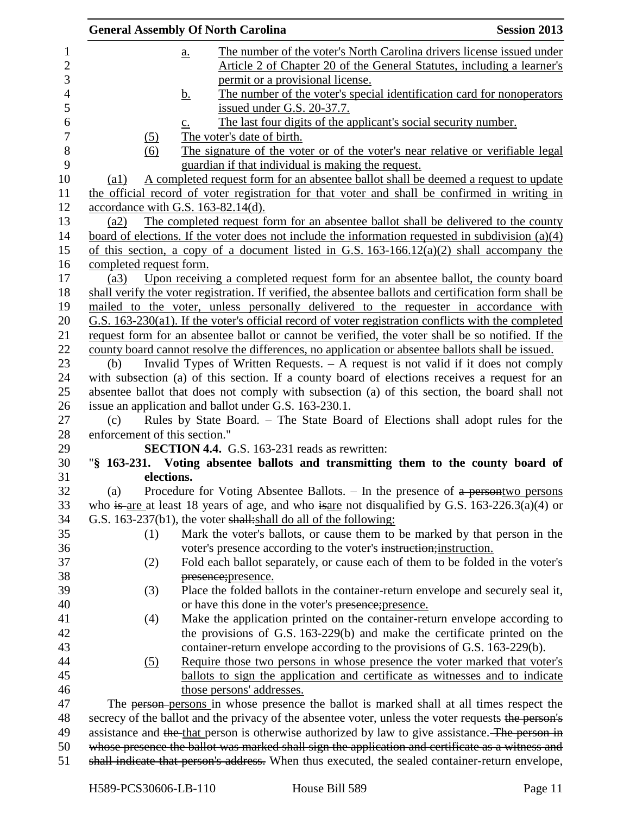|                |                               | <b>General Assembly Of North Carolina</b>                                                              | <b>Session 2013</b> |
|----------------|-------------------------------|--------------------------------------------------------------------------------------------------------|---------------------|
| $\mathbf{1}$   |                               | The number of the voter's North Carolina drivers license issued under<br>$\underline{a}$ .             |                     |
| $\overline{2}$ |                               | <u>Article 2 of Chapter 20 of the General Statutes, including a learner's</u>                          |                     |
| 3              |                               | permit or a provisional license.                                                                       |                     |
| 4              |                               | The number of the voter's special identification card for nonoperators<br><u>b.</u>                    |                     |
| 5              |                               | issued under G.S. 20-37.7.                                                                             |                     |
| 6              |                               | The last four digits of the applicant's social security number.<br>$\underline{c}$ .                   |                     |
| $\overline{7}$ | (5)                           | The voter's date of birth.                                                                             |                     |
| 8              | (6)                           | The signature of the voter or of the voter's near relative or verifiable legal                         |                     |
| 9              |                               | guardian if that individual is making the request.                                                     |                     |
| 10             | $\left( a1\right)$            | A completed request form for an absentee ballot shall be deemed a request to update                    |                     |
| 11             |                               | the official record of voter registration for that voter and shall be confirmed in writing in          |                     |
| 12             |                               | accordance with G.S. 163-82.14(d).                                                                     |                     |
| 13             | (a2)                          | The completed request form for an absentee ballot shall be delivered to the county                     |                     |
| 14             |                               | board of elections. If the voter does not include the information requested in subdivision $(a)(4)$    |                     |
| 15             |                               | of this section, a copy of a document listed in G.S. $163-166.12(a)(2)$ shall accompany the            |                     |
| 16             | completed request form.       |                                                                                                        |                     |
| 17             | (a3)                          | Upon receiving a completed request form for an absentee ballot, the county board                       |                     |
| 18             |                               | shall verify the voter registration. If verified, the absentee ballots and certification form shall be |                     |
| 19             |                               | mailed to the voter, unless personally delivered to the requester in accordance with                   |                     |
| 20             |                               | G.S. 163-230(a1). If the voter's official record of voter registration conflicts with the completed    |                     |
| 21             |                               | request form for an absentee ballot or cannot be verified, the voter shall be so notified. If the      |                     |
| 22             |                               | county board cannot resolve the differences, no application or absentee ballots shall be issued.       |                     |
| 23             | (b)                           | Invalid Types of Written Requests. $- A$ request is not valid if it does not comply                    |                     |
| 24             |                               | with subsection (a) of this section. If a county board of elections receives a request for an          |                     |
| 25             |                               | absentee ballot that does not comply with subsection (a) of this section, the board shall not          |                     |
| 26             |                               | issue an application and ballot under G.S. 163-230.1.                                                  |                     |
| 27             | (c)                           | Rules by State Board. - The State Board of Elections shall adopt rules for the                         |                     |
| 28             | enforcement of this section." |                                                                                                        |                     |
| 29             |                               | <b>SECTION 4.4.</b> G.S. 163-231 reads as rewritten:                                                   |                     |
| 30             |                               | "§ 163-231. Voting absentee ballots and transmitting them to the county board of                       |                     |
| 31             | elections.                    |                                                                                                        |                     |
| 32             | (a)                           | Procedure for Voting Absentee Ballots. $-$ In the presence of $a$ persontwo persons                    |                     |
| 33             |                               | who is are at least 18 years of age, and who is are not disqualified by G.S. $163-226.3(a)(4)$ or      |                     |
| 34             |                               | G.S. 163-237(b1), the voter shall: shall do all of the following:                                      |                     |
| 35             | (1)                           | Mark the voter's ballots, or cause them to be marked by that person in the                             |                     |
| 36             |                               | voter's presence according to the voter's instruction; instruction.                                    |                     |
| 37             | (2)                           | Fold each ballot separately, or cause each of them to be folded in the voter's                         |                     |
| 38             |                               | presence; presence.                                                                                    |                     |
| 39             |                               | Place the folded ballots in the container-return envelope and securely seal it,                        |                     |
| 40             | (3)                           | or have this done in the voter's presence; presence.                                                   |                     |
| 41             |                               | Make the application printed on the container-return envelope according to                             |                     |
| 42             | (4)                           | the provisions of G.S. 163-229(b) and make the certificate printed on the                              |                     |
|                |                               |                                                                                                        |                     |
| 43             |                               | container-return envelope according to the provisions of G.S. 163-229(b).                              |                     |
| 44             | (5)                           | Require those two persons in whose presence the voter marked that voter's                              |                     |
| 45             |                               | ballots to sign the application and certificate as witnesses and to indicate                           |                     |
| 46             |                               | those persons' addresses.                                                                              |                     |
| 47             |                               | The person-persons in whose presence the ballot is marked shall at all times respect the               |                     |
| 48             |                               | secrecy of the ballot and the privacy of the absentee voter, unless the voter requests the person's    |                     |
| 49             |                               | assistance and the that person is otherwise authorized by law to give assistance. The person in        |                     |
| 50             |                               | whose presence the ballot was marked shall sign the application and certificate as a witness and       |                     |
| 51             |                               | shall indicate that person's address. When thus executed, the sealed container-return envelope,        |                     |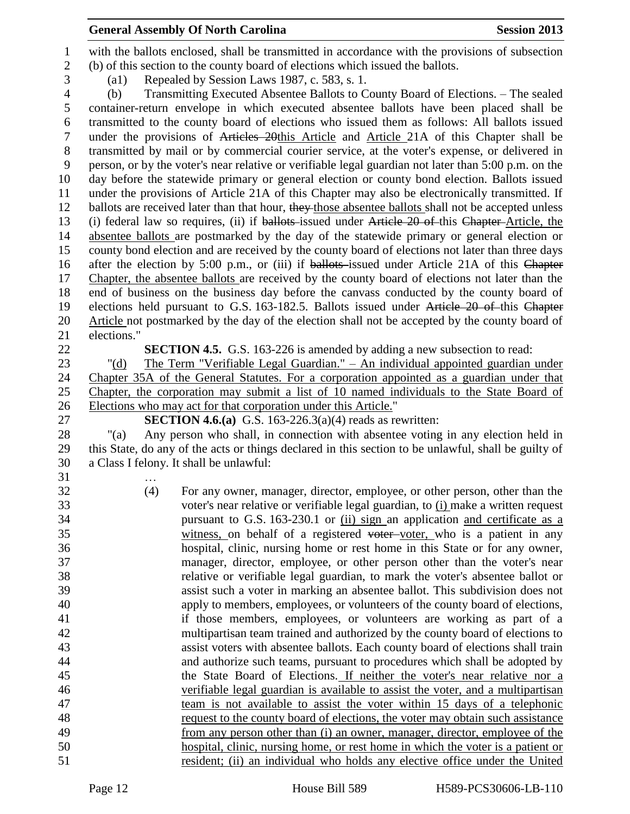#### **General Assembly Of North Carolina Session 2013**

 with the ballots enclosed, shall be transmitted in accordance with the provisions of subsection (b) of this section to the county board of elections which issued the ballots. (a1) Repealed by Session Laws 1987, c. 583, s. 1.

 (b) Transmitting Executed Absentee Ballots to County Board of Elections. – The sealed container-return envelope in which executed absentee ballots have been placed shall be transmitted to the county board of elections who issued them as follows: All ballots issued under the provisions of Articles 20this Article and Article 21A of this Chapter shall be transmitted by mail or by commercial courier service, at the voter's expense, or delivered in person, or by the voter's near relative or verifiable legal guardian not later than 5:00 p.m. on the day before the statewide primary or general election or county bond election. Ballots issued under the provisions of Article 21A of this Chapter may also be electronically transmitted. If 12 ballots are received later than that hour, they those absentee ballots shall not be accepted unless (i) federal law so requires, (ii) if ballots issued under Article 20 of this Chapter Article, the absentee ballots are postmarked by the day of the statewide primary or general election or county bond election and are received by the county board of elections not later than three days 16 after the election by 5:00 p.m., or (iii) if ballots-issued under Article 21A of this Chapter Chapter, the absentee ballots are received by the county board of elections not later than the end of business on the business day before the canvass conducted by the county board of elections held pursuant to G.S. 163-182.5. Ballots issued under Article 20 of this Chapter 20 Article not postmarked by the day of the election shall not be accepted by the county board of elections."

**SECTION 4.5.** G.S. 163-226 is amended by adding a new subsection to read:

 "(d) The Term "Verifiable Legal Guardian." – An individual appointed guardian under Chapter 35A of the General Statutes. For a corporation appointed as a guardian under that Chapter, the corporation may submit a list of 10 named individuals to the State Board of Elections who may act for that corporation under this Article."

**SECTION 4.6.(a)** G.S. 163-226.3(a)(4) reads as rewritten:

 "(a) Any person who shall, in connection with absentee voting in any election held in this State, do any of the acts or things declared in this section to be unlawful, shall be guilty of a Class I felony. It shall be unlawful:

…

 (4) For any owner, manager, director, employee, or other person, other than the voter's near relative or verifiable legal guardian, to (i) make a written request pursuant to G.S. 163-230.1 or (ii) sign an application and certificate as a witness, on behalf of a registered voter voter, who is a patient in any hospital, clinic, nursing home or rest home in this State or for any owner, manager, director, employee, or other person other than the voter's near relative or verifiable legal guardian, to mark the voter's absentee ballot or assist such a voter in marking an absentee ballot. This subdivision does not apply to members, employees, or volunteers of the county board of elections, if those members, employees, or volunteers are working as part of a multipartisan team trained and authorized by the county board of elections to assist voters with absentee ballots. Each county board of elections shall train and authorize such teams, pursuant to procedures which shall be adopted by the State Board of Elections. If neither the voter's near relative nor a verifiable legal guardian is available to assist the voter, and a multipartisan team is not available to assist the voter within 15 days of a telephonic request to the county board of elections, the voter may obtain such assistance from any person other than (i) an owner, manager, director, employee of the hospital, clinic, nursing home, or rest home in which the voter is a patient or resident; (ii) an individual who holds any elective office under the United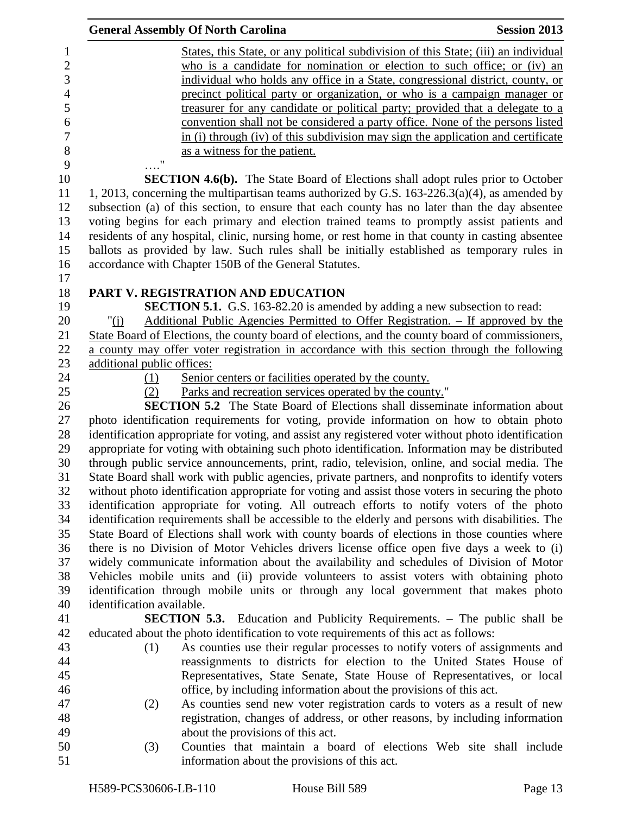|                                                                 | <b>General Assembly Of North Carolina</b>                                                                                                                                                                                                                                                                                                                                                                                                                                                                                                                                                   | <b>Session 2013</b> |
|-----------------------------------------------------------------|---------------------------------------------------------------------------------------------------------------------------------------------------------------------------------------------------------------------------------------------------------------------------------------------------------------------------------------------------------------------------------------------------------------------------------------------------------------------------------------------------------------------------------------------------------------------------------------------|---------------------|
| $\mathbf{1}$<br>$\overline{2}$<br>3<br>$\overline{4}$<br>5<br>6 | States, this State, or any political subdivision of this State; (iii) an individual<br>who is a candidate for nomination or election to such office; or (iv) an<br>individual who holds any office in a State, congressional district, county, or<br>precinct political party or organization, or who is a campaign manager or<br>treasurer for any candidate or political party; provided that a delegate to a<br>convention shall not be considered a party office. None of the persons listed                                                                                            |                     |
| $\tau$<br>$\,8\,$<br>9                                          | in (i) through (iv) of this subdivision may sign the application and certificate<br>as a witness for the patient.<br>11                                                                                                                                                                                                                                                                                                                                                                                                                                                                     |                     |
| 10<br>11<br>12<br>13<br>14<br>15                                | <b>SECTION 4.6(b).</b> The State Board of Elections shall adopt rules prior to October<br>1, 2013, concerning the multipartisan teams authorized by G.S. $163-226.3(a)(4)$ , as amended by<br>subsection (a) of this section, to ensure that each county has no later than the day absentee<br>voting begins for each primary and election trained teams to promptly assist patients and<br>residents of any hospital, clinic, nursing home, or rest home in that county in casting absentee<br>ballots as provided by law. Such rules shall be initially established as temporary rules in |                     |
| 16<br>17                                                        | accordance with Chapter 150B of the General Statutes.                                                                                                                                                                                                                                                                                                                                                                                                                                                                                                                                       |                     |
| 18<br>19<br>20<br>21<br>22                                      | PART V. REGISTRATION AND EDUCATION<br><b>SECTION 5.1.</b> G.S. 163-82.20 is amended by adding a new subsection to read:<br>Additional Public Agencies Permitted to Offer Registration. - If approved by the<br>" $(i)$<br>State Board of Elections, the county board of elections, and the county board of commissioners,<br>a county may offer voter registration in accordance with this section through the following                                                                                                                                                                    |                     |
| 23<br>24<br>25<br>26                                            | additional public offices:<br>Senior centers or facilities operated by the county.<br>(1)<br>Parks and recreation services operated by the county."<br>(2)<br><b>SECTION 5.2</b> The State Board of Elections shall disseminate information about                                                                                                                                                                                                                                                                                                                                           |                     |
| 27<br>28<br>29<br>30<br>31                                      | photo identification requirements for voting, provide information on how to obtain photo<br>identification appropriate for voting, and assist any registered voter without photo identification<br>appropriate for voting with obtaining such photo identification. Information may be distributed<br>through public service announcements, print, radio, television, online, and social media. The<br>State Board shall work with public agencies, private partners, and nonprofits to identify voters                                                                                     |                     |
| 32<br>33<br>34<br>35<br>36                                      | without photo identification appropriate for voting and assist those voters in securing the photo<br>identification appropriate for voting. All outreach efforts to notify voters of the photo<br>identification requirements shall be accessible to the elderly and persons with disabilities. The<br>State Board of Elections shall work with county boards of elections in those counties where<br>there is no Division of Motor Vehicles drivers license office open five days a week to (i)                                                                                            |                     |
| 37<br>38<br>39<br>40                                            | widely communicate information about the availability and schedules of Division of Motor<br>Vehicles mobile units and (ii) provide volunteers to assist voters with obtaining photo<br>identification through mobile units or through any local government that makes photo<br>identification available.                                                                                                                                                                                                                                                                                    |                     |
| 41<br>42<br>43<br>44                                            | <b>SECTION 5.3.</b> Education and Publicity Requirements. - The public shall be<br>educated about the photo identification to vote requirements of this act as follows:<br>As counties use their regular processes to notify voters of assignments and<br>(1)<br>reassignments to districts for election to the United States House of                                                                                                                                                                                                                                                      |                     |
| 45<br>46<br>47<br>48                                            | Representatives, State Senate, State House of Representatives, or local<br>office, by including information about the provisions of this act.<br>As counties send new voter registration cards to voters as a result of new<br>(2)<br>registration, changes of address, or other reasons, by including information                                                                                                                                                                                                                                                                          |                     |
| 49<br>50<br>51                                                  | about the provisions of this act.<br>Counties that maintain a board of elections Web site shall include<br>(3)<br>information about the provisions of this act.                                                                                                                                                                                                                                                                                                                                                                                                                             |                     |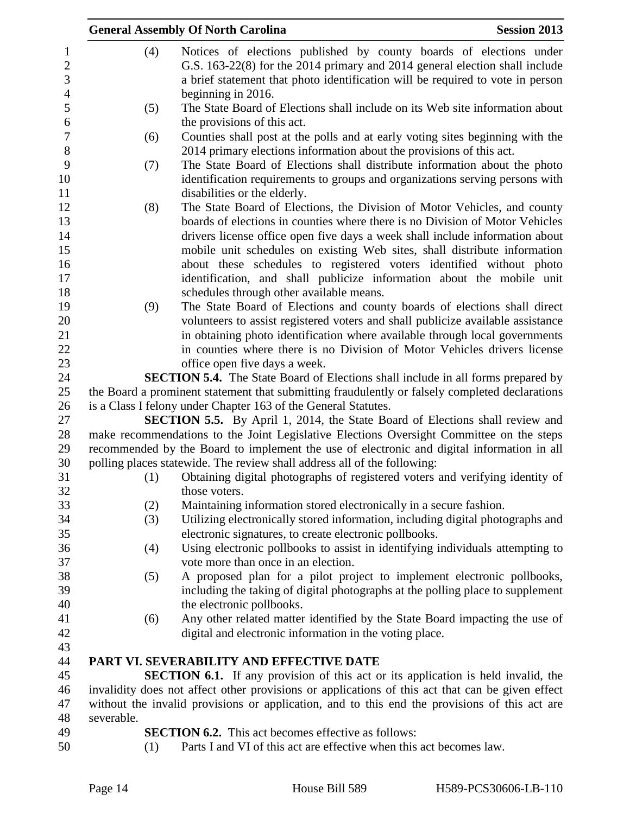|            |     | <b>General Assembly Of North Carolina</b>                                                                                                                                                         | <b>Session 2013</b> |
|------------|-----|---------------------------------------------------------------------------------------------------------------------------------------------------------------------------------------------------|---------------------|
|            | (4) | Notices of elections published by county boards of elections under                                                                                                                                |                     |
|            |     | G.S. 163-22(8) for the 2014 primary and 2014 general election shall include                                                                                                                       |                     |
|            |     | a brief statement that photo identification will be required to vote in person                                                                                                                    |                     |
|            |     | beginning in 2016.                                                                                                                                                                                |                     |
|            | (5) | The State Board of Elections shall include on its Web site information about                                                                                                                      |                     |
|            |     | the provisions of this act.                                                                                                                                                                       |                     |
|            | (6) | Counties shall post at the polls and at early voting sites beginning with the                                                                                                                     |                     |
|            |     | 2014 primary elections information about the provisions of this act.                                                                                                                              |                     |
|            | (7) | The State Board of Elections shall distribute information about the photo                                                                                                                         |                     |
|            |     | identification requirements to groups and organizations serving persons with                                                                                                                      |                     |
|            |     | disabilities or the elderly.                                                                                                                                                                      |                     |
|            | (8) | The State Board of Elections, the Division of Motor Vehicles, and county                                                                                                                          |                     |
|            |     | boards of elections in counties where there is no Division of Motor Vehicles                                                                                                                      |                     |
|            |     | drivers license office open five days a week shall include information about                                                                                                                      |                     |
|            |     | mobile unit schedules on existing Web sites, shall distribute information                                                                                                                         |                     |
|            |     | about these schedules to registered voters identified without photo                                                                                                                               |                     |
|            |     | identification, and shall publicize information about the mobile unit                                                                                                                             |                     |
|            |     | schedules through other available means.                                                                                                                                                          |                     |
|            | (9) | The State Board of Elections and county boards of elections shall direct                                                                                                                          |                     |
|            |     | volunteers to assist registered voters and shall publicize available assistance                                                                                                                   |                     |
|            |     | in obtaining photo identification where available through local governments                                                                                                                       |                     |
|            |     | in counties where there is no Division of Motor Vehicles drivers license                                                                                                                          |                     |
|            |     | office open five days a week.                                                                                                                                                                     |                     |
|            |     | <b>SECTION 5.4.</b> The State Board of Elections shall include in all forms prepared by                                                                                                           |                     |
|            |     | the Board a prominent statement that submitting fraudulently or falsely completed declarations                                                                                                    |                     |
|            |     | is a Class I felony under Chapter 163 of the General Statutes.                                                                                                                                    |                     |
|            |     | <b>SECTION 5.5.</b> By April 1, 2014, the State Board of Elections shall review and                                                                                                               |                     |
|            |     | make recommendations to the Joint Legislative Elections Oversight Committee on the steps                                                                                                          |                     |
|            |     | recommended by the Board to implement the use of electronic and digital information in all                                                                                                        |                     |
|            |     | polling places statewide. The review shall address all of the following:                                                                                                                          |                     |
|            | (1) | Obtaining digital photographs of registered voters and verifying identity of                                                                                                                      |                     |
|            |     | those voters.                                                                                                                                                                                     |                     |
|            |     | Maintaining information stored electronically in a secure fashion.                                                                                                                                |                     |
|            | (2) | Utilizing electronically stored information, including digital photographs and                                                                                                                    |                     |
|            | (3) | electronic signatures, to create electronic pollbooks.                                                                                                                                            |                     |
|            | (4) | Using electronic pollbooks to assist in identifying individuals attempting to                                                                                                                     |                     |
|            |     | vote more than once in an election.                                                                                                                                                               |                     |
|            |     | A proposed plan for a pilot project to implement electronic pollbooks,                                                                                                                            |                     |
|            | (5) | including the taking of digital photographs at the polling place to supplement                                                                                                                    |                     |
|            |     | the electronic pollbooks.                                                                                                                                                                         |                     |
|            |     |                                                                                                                                                                                                   |                     |
|            | (6) | Any other related matter identified by the State Board impacting the use of                                                                                                                       |                     |
|            |     | digital and electronic information in the voting place.                                                                                                                                           |                     |
|            |     | PART VI. SEVERABILITY AND EFFECTIVE DATE                                                                                                                                                          |                     |
|            |     |                                                                                                                                                                                                   |                     |
|            |     | <b>SECTION 6.1.</b> If any provision of this act or its application is held invalid, the                                                                                                          |                     |
|            |     | invalidity does not affect other provisions or applications of this act that can be given effect<br>without the invalid provisions or application, and to this end the provisions of this act are |                     |
| severable. |     |                                                                                                                                                                                                   |                     |
|            |     | <b>SECTION 6.2.</b> This act becomes effective as follows:                                                                                                                                        |                     |
|            | (1) | Parts I and VI of this act are effective when this act becomes law.                                                                                                                               |                     |
|            |     |                                                                                                                                                                                                   |                     |